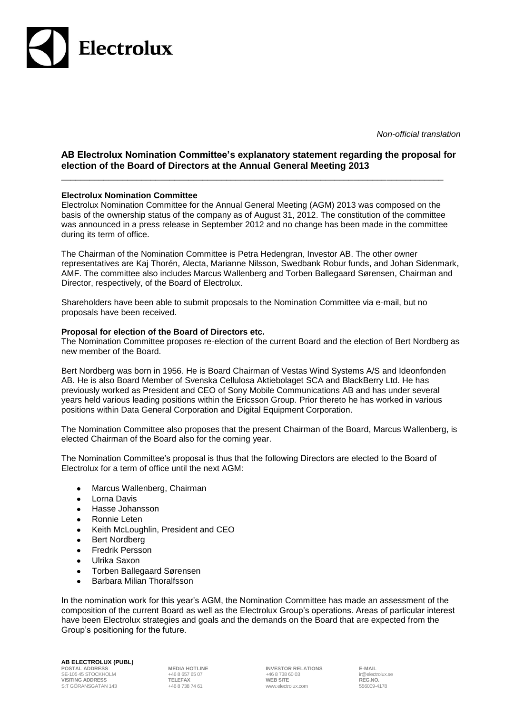

*Non-official translation*

## **AB Electrolux Nomination Committee's explanatory statement regarding the proposal for election of the Board of Directors at the Annual General Meeting 2013**

\_\_\_\_\_\_\_\_\_\_\_\_\_\_\_\_\_\_\_\_\_\_\_\_\_\_\_\_\_\_\_\_\_\_\_\_\_\_\_\_\_\_\_\_\_\_\_\_\_\_\_\_\_\_\_\_\_\_\_\_\_\_\_\_\_\_\_\_\_\_\_\_\_\_\_\_\_\_\_\_\_

## **Electrolux Nomination Committee**

Electrolux Nomination Committee for the Annual General Meeting (AGM) 2013 was composed on the basis of the ownership status of the company as of August 31, 2012. The constitution of the committee was announced in a press release in September 2012 and no change has been made in the committee during its term of office.

The Chairman of the Nomination Committee is Petra Hedengran, Investor AB. The other owner representatives are Kaj Thorén, Alecta, Marianne Nilsson, Swedbank Robur funds, and Johan Sidenmark, AMF. The committee also includes Marcus Wallenberg and Torben Ballegaard Sørensen, Chairman and Director, respectively, of the Board of Electrolux.

Shareholders have been able to submit proposals to the Nomination Committee via e-mail, but no proposals have been received.

## **Proposal for election of the Board of Directors etc.**

The Nomination Committee proposes re-election of the current Board and the election of Bert Nordberg as new member of the Board.

Bert Nordberg was born in 1956. He is Board Chairman of Vestas Wind Systems A/S and Ideonfonden AB. He is also Board Member of Svenska Cellulosa Aktiebolaget SCA and BlackBerry Ltd. He has previously worked as President and CEO of Sony Mobile Communications AB and has under several years held various leading positions within the Ericsson Group. Prior thereto he has worked in various positions within Data General Corporation and Digital Equipment Corporation.

The Nomination Committee also proposes that the present Chairman of the Board, Marcus Wallenberg, is elected Chairman of the Board also for the coming year.

The Nomination Committee's proposal is thus that the following Directors are elected to the Board of Electrolux for a term of office until the next AGM:

- Marcus Wallenberg, Chairman  $\bullet$
- Lorna Davis  $\bullet$
- Hasse Johansson  $\bullet$
- Ronnie Leten  $\bullet$
- $\bullet$ Keith McLoughlin, President and CEO
- $\bullet$ Bert Nordberg
- Fredrik Persson  $\bullet$
- Ulrika Saxon  $\bullet$
- Torben Ballegaard Sørensen  $\bullet$
- Barbara Milian Thoralfsson  $\bullet$

In the nomination work for this year's AGM, the Nomination Committee has made an assessment of the composition of the current Board as well as the Electrolux Group's operations. Areas of particular interest have been Electrolux strategies and goals and the demands on the Board that are expected from the Group's positioning for the future.

## **AB ELECTROLUX (PUBL)**

SE-105 45 STOCKHOLM +46 8 657 65 07 +46 8 738 60 03 ir@electrolux.se **VISITING ADDRESS TELEFAX WEB SITE REG.NO.** S:T GÖRANSGATAN 143

**POSTAL ADDRESS MEDIA HOTLINE INVESTOR RELATIONS** E-MAIL<br>
+46 8 657 65 07 +46 8 738 60 03 **in @electrolux.se**